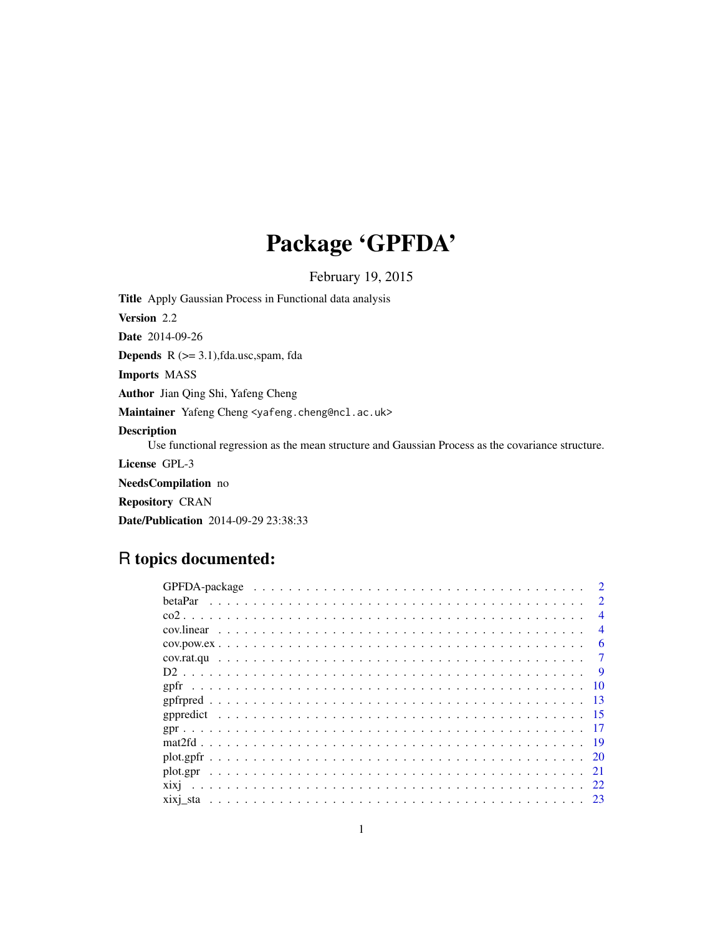# Package 'GPFDA'

February 19, 2015

<span id="page-0-0"></span>Title Apply Gaussian Process in Functional data analysis Version 2.2 Date 2014-09-26 **Depends**  $R$  ( $>= 3.1$ ), fda.usc, spam, fda Imports MASS Author Jian Qing Shi, Yafeng Cheng Maintainer Yafeng Cheng <yafeng.cheng@ncl.ac.uk> Description Use functional regression as the mean structure and Gaussian Process as the covariance structure. License GPL-3 NeedsCompilation no

Repository CRAN

Date/Publication 2014-09-29 23:38:33

## R topics documented:

| $\mathcal{P}$            |
|--------------------------|
| $\mathcal{D}$            |
| $\overline{\mathcal{A}}$ |
| $\overline{4}$           |
| 6                        |
| 7                        |
| - 9                      |
|                          |
| -13                      |
|                          |
|                          |
|                          |
|                          |
|                          |
|                          |
|                          |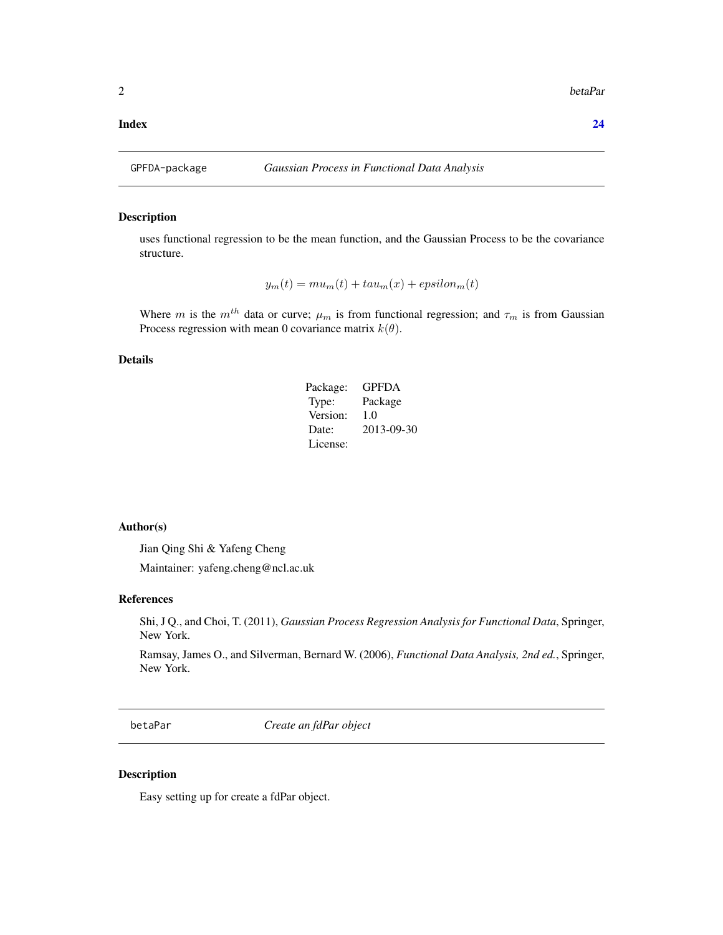#### <span id="page-1-0"></span>**Index** [24](#page-23-0)

#### Description

uses functional regression to be the mean function, and the Gaussian Process to be the covariance structure.

$$
y_m(t) = mu_m(t) + tau_m(x) + epsilon_m(t)
$$

Where m is the  $m<sup>th</sup>$  data or curve;  $\mu_m$  is from functional regression; and  $\tau_m$  is from Gaussian Process regression with mean 0 covariance matrix  $k(\theta)$ .

#### Details

| Package: | <b>GPFDA</b> |
|----------|--------------|
| Type:    | Package      |
| Version: | 1.0          |
| Date:    | 2013-09-30   |
| License: |              |

#### Author(s)

Jian Qing Shi & Yafeng Cheng

Maintainer: yafeng.cheng@ncl.ac.uk

#### References

Shi, J Q., and Choi, T. (2011), *Gaussian Process Regression Analysis for Functional Data*, Springer, New York.

Ramsay, James O., and Silverman, Bernard W. (2006), *Functional Data Analysis, 2nd ed.*, Springer, New York.

betaPar *Create an fdPar object*

#### Description

Easy setting up for create a fdPar object.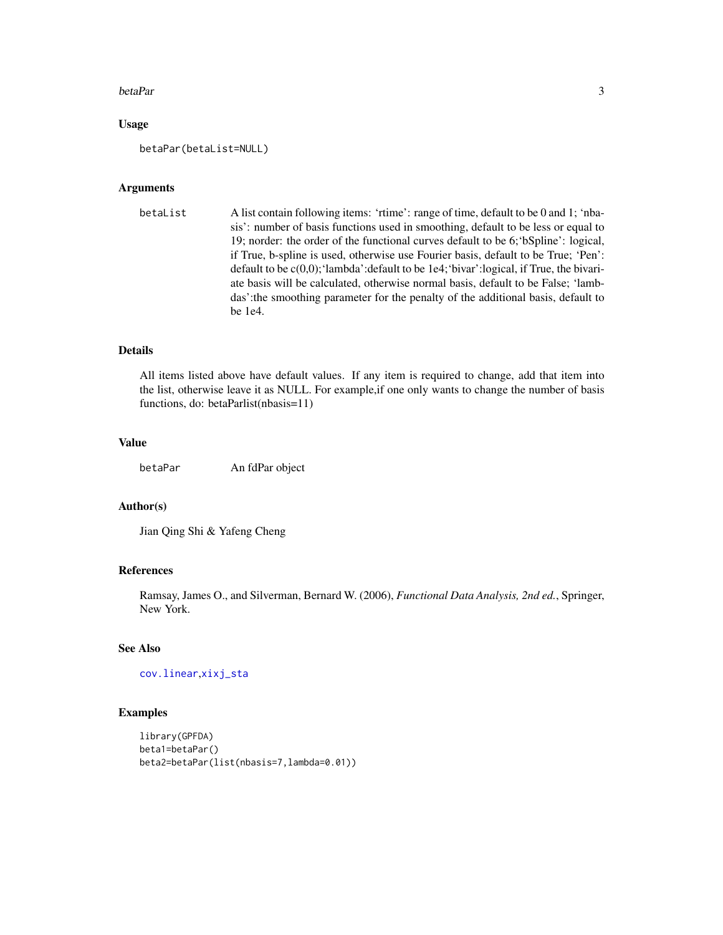#### <span id="page-2-0"></span>betaPar 3

#### Usage

betaPar(betaList=NULL)

#### Arguments

```
betaList A list contain following items: 'rtime': range of time, default to be 0 and 1; 'nba-
                   sis': number of basis functions used in smoothing, default to be less or equal to
                   19; norder: the order of the functional curves default to be 6;'bSpline': logical,
                   if True, b-spline is used, otherwise use Fourier basis, default to be True; 'Pen':
                   default to be c(0,0);'lambda':default to be 1e4;'bivar':logical, if True, the bivari-
                   ate basis will be calculated, otherwise normal basis, default to be False; 'lamb-
                   das':the smoothing parameter for the penalty of the additional basis, default to
                   be 1e4.
```
#### Details

All items listed above have default values. If any item is required to change, add that item into the list, otherwise leave it as NULL. For example,if one only wants to change the number of basis functions, do: betaParlist(nbasis=11)

#### Value

betaPar An fdPar object

#### Author(s)

Jian Qing Shi & Yafeng Cheng

#### References

Ramsay, James O., and Silverman, Bernard W. (2006), *Functional Data Analysis, 2nd ed.*, Springer, New York.

#### See Also

[cov.linear](#page-3-1),[xixj\\_sta](#page-22-1)

#### Examples

```
library(GPFDA)
beta1=betaPar()
beta2=betaPar(list(nbasis=7,lambda=0.01))
```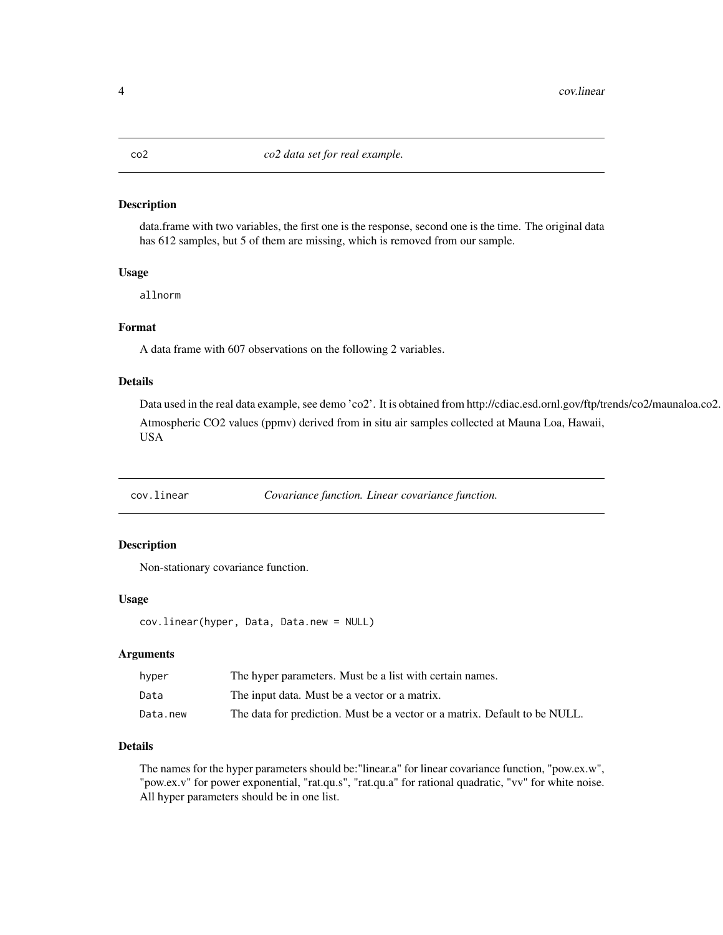<span id="page-3-0"></span>data.frame with two variables, the first one is the response, second one is the time. The original data has 612 samples, but 5 of them are missing, which is removed from our sample.

#### Usage

allnorm

#### Format

A data frame with 607 observations on the following 2 variables.

#### Details

Data used in the real data example, see demo 'co2'. It is obtained from http://cdiac.esd.ornl.gov/ftp/trends/co2/maunaloa.co2. Atmospheric CO2 values (ppmv) derived from in situ air samples collected at Mauna Loa, Hawaii, USA

<span id="page-3-1"></span>cov.linear *Covariance function. Linear covariance function.*

#### Description

Non-stationary covariance function.

#### Usage

```
cov.linear(hyper, Data, Data.new = NULL)
```
#### Arguments

| hyper    | The hyper parameters. Must be a list with certain names.                   |
|----------|----------------------------------------------------------------------------|
| Data     | The input data. Must be a vector or a matrix.                              |
| Data.new | The data for prediction. Must be a vector or a matrix. Default to be NULL. |

#### Details

The names for the hyper parameters should be:"linear.a" for linear covariance function, "pow.ex.w", "pow.ex.v" for power exponential, "rat.qu.s", "rat.qu.a" for rational quadratic, "vv" for white noise. All hyper parameters should be in one list.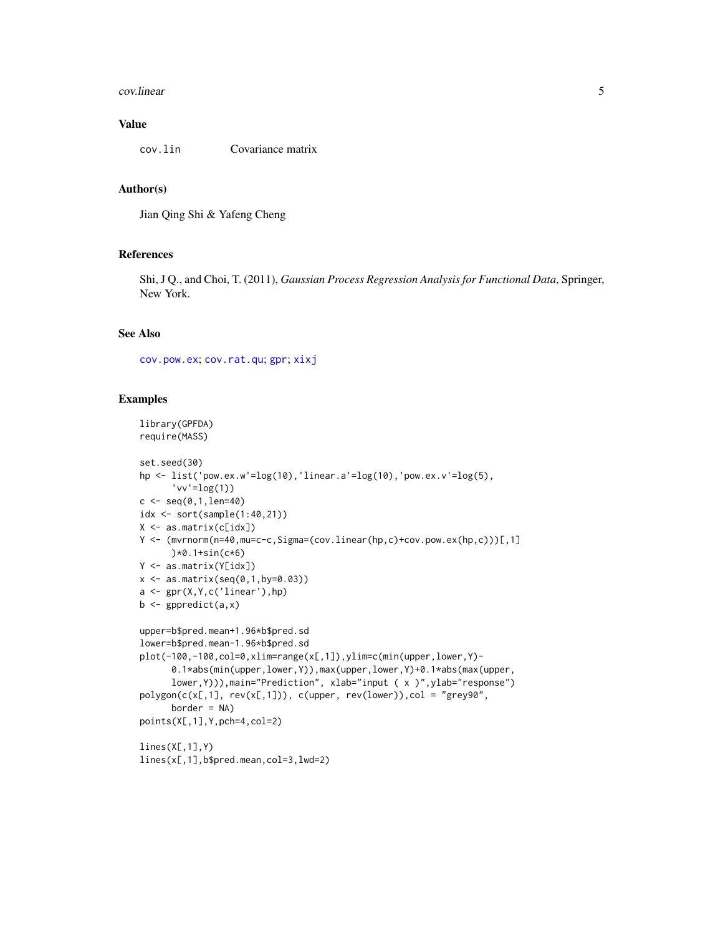#### <span id="page-4-0"></span>cov.linear 5

#### Value

cov.lin Covariance matrix

#### Author(s)

Jian Qing Shi & Yafeng Cheng

#### References

Shi, J Q., and Choi, T. (2011), *Gaussian Process Regression Analysis for Functional Data*, Springer, New York.

#### See Also

[cov.pow.ex](#page-5-1); [cov.rat.qu](#page-6-1); [gpr](#page-16-1); [xixj](#page-21-1)

#### Examples

```
library(GPFDA)
require(MASS)
set.seed(30)
hp <- list('pow.ex.w'=log(10),'linear.a'=log(10),'pow.ex.v'=log(5),
      'vv'=log(1))
c \leq - \text{seq}(0, 1, len=40)idx <- sort(sample(1:40,21))
X <- as.matrix(c[idx])
Y <- (mvrnorm(n=40,mu=c-c,Sigma=(cov.linear(hp,c)+cov.pow.ex(hp,c)))[,1]
      )*0.1+sin(c*6)
Y <- as.matrix(Y[idx])
x \le - as.matrix(seq(0,1,by=0.03))
a \leftarrow \text{gpr}(X, Y, c('linear'), hp)b \leftarrow gppredict(a,x)
upper=b$pred.mean+1.96*b$pred.sd
lower=b$pred.mean-1.96*b$pred.sd
plot(-100,-100,col=0,xlim=range(x[,1]),ylim=c(min(upper,lower,Y)-
      0.1*abs(min(upper,lower,Y)),max(upper,lower,Y)+0.1*abs(max(upper,
      lower,Y))),main="Prediction", xlab="input ( x )",ylab="response")
polygon(c(x[,1], rev(x[,1])), c(upper, rev(lower)), col = "grey90",border = NA)
points(X[,1],Y,pch=4,col=2)
lines(X[,1],Y)
lines(x[,1],b$pred.mean,col=3,lwd=2)
```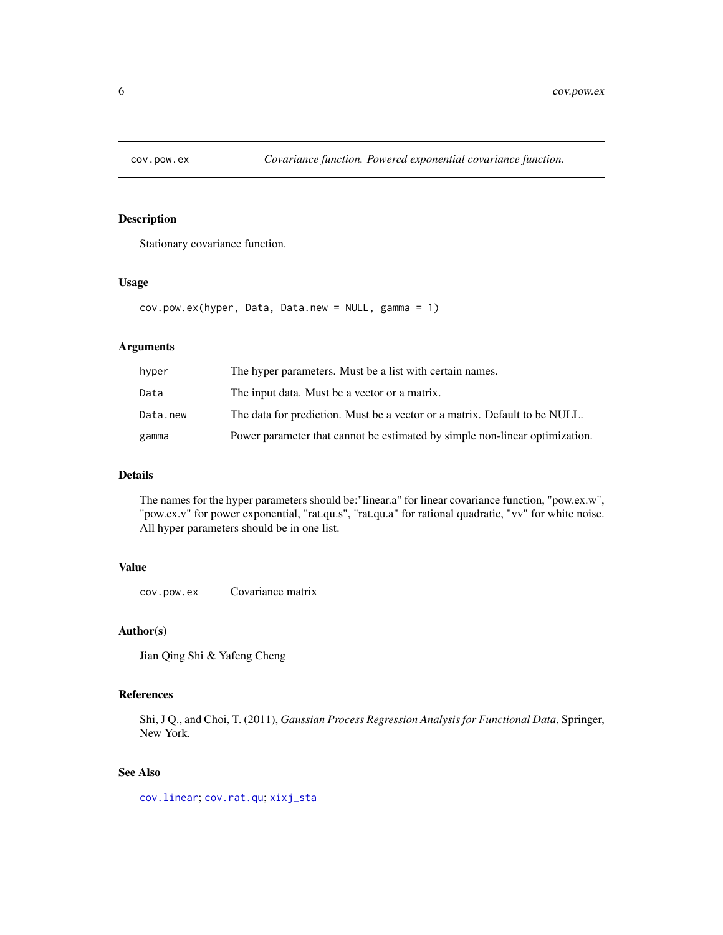<span id="page-5-1"></span><span id="page-5-0"></span>

Stationary covariance function.

#### Usage

```
cov.pow.ex(hyper, Data, Data.new = NULL, gamma = 1)
```
#### Arguments

| hyper    | The hyper parameters. Must be a list with certain names.                    |
|----------|-----------------------------------------------------------------------------|
| Data     | The input data. Must be a vector or a matrix.                               |
| Data.new | The data for prediction. Must be a vector or a matrix. Default to be NULL.  |
| gamma    | Power parameter that cannot be estimated by simple non-linear optimization. |

#### Details

The names for the hyper parameters should be:"linear.a" for linear covariance function, "pow.ex.w", "pow.ex.v" for power exponential, "rat.qu.s", "rat.qu.a" for rational quadratic, "vv" for white noise. All hyper parameters should be in one list.

#### Value

cov.pow.ex Covariance matrix

#### Author(s)

Jian Qing Shi & Yafeng Cheng

#### References

Shi, J Q., and Choi, T. (2011), *Gaussian Process Regression Analysis for Functional Data*, Springer, New York.

#### See Also

[cov.linear](#page-3-1); [cov.rat.qu](#page-6-1); [xixj\\_sta](#page-22-1)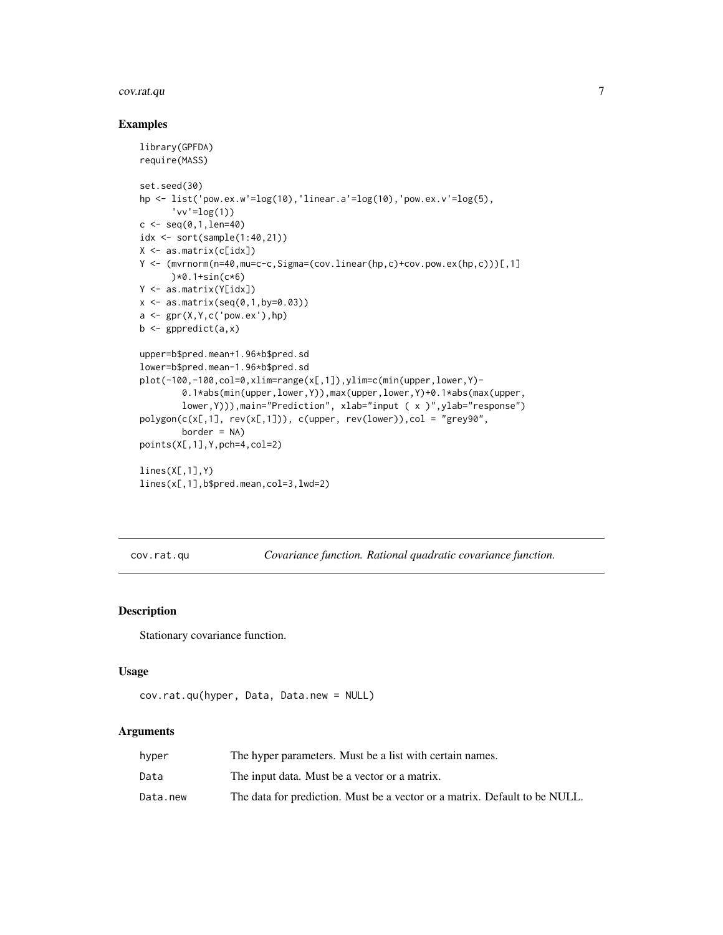#### <span id="page-6-0"></span>cov.rat.qu 7

#### Examples

```
library(GPFDA)
require(MASS)
set.seed(30)
hp \le list('pow.ex.w'=log(10),'linear.a'=log(10),'pow.ex.v'=log(5),
      'vv' = log(1)c \leq - \text{seq}(0, 1, len=40)idx <- sort(sample(1:40,21))
X <- as.matrix(c[idx])
Y <- (mvrnorm(n=40,mu=c-c,Sigma=(cov.linear(hp,c)+cov.pow.ex(hp,c)))[,1]
      )*0.1+sin(c*6)
Y <- as.matrix(Y[idx])
x \leftarrow as.matrix(seq(0, 1, by=0.03))a \leftarrow \text{gpr}(X, Y, c('pow.ex'),hp)b \leftarrow gppredict(a,x)
upper=b$pred.mean+1.96*b$pred.sd
lower=b$pred.mean-1.96*b$pred.sd
plot(-100,-100,col=0,xlim=range(x[,1]),ylim=c(min(upper,lower,Y)-
        0.1*abs(min(upper,lower,Y)),max(upper,lower,Y)+0.1*abs(max(upper,
        lower,Y))),main="Prediction", xlab="input ( x )",ylab="response")
polygon(c(x[,1], rev(x[,1])), c(upper, rev(lower)), col = "grey90",border = NA)
points(X[,1],Y,pch=4,col=2)
lines(X[, 1], Y)lines(x[,1],b$pred.mean,col=3,lwd=2)
```
<span id="page-6-1"></span>cov.rat.qu *Covariance function. Rational quadratic covariance function.*

#### Description

Stationary covariance function.

#### Usage

```
cov.rat.qu(hyper, Data, Data.new = NULL)
```

| hyper    | The hyper parameters. Must be a list with certain names.                   |
|----------|----------------------------------------------------------------------------|
| Data     | The input data. Must be a vector or a matrix.                              |
| Data.new | The data for prediction. Must be a vector or a matrix. Default to be NULL. |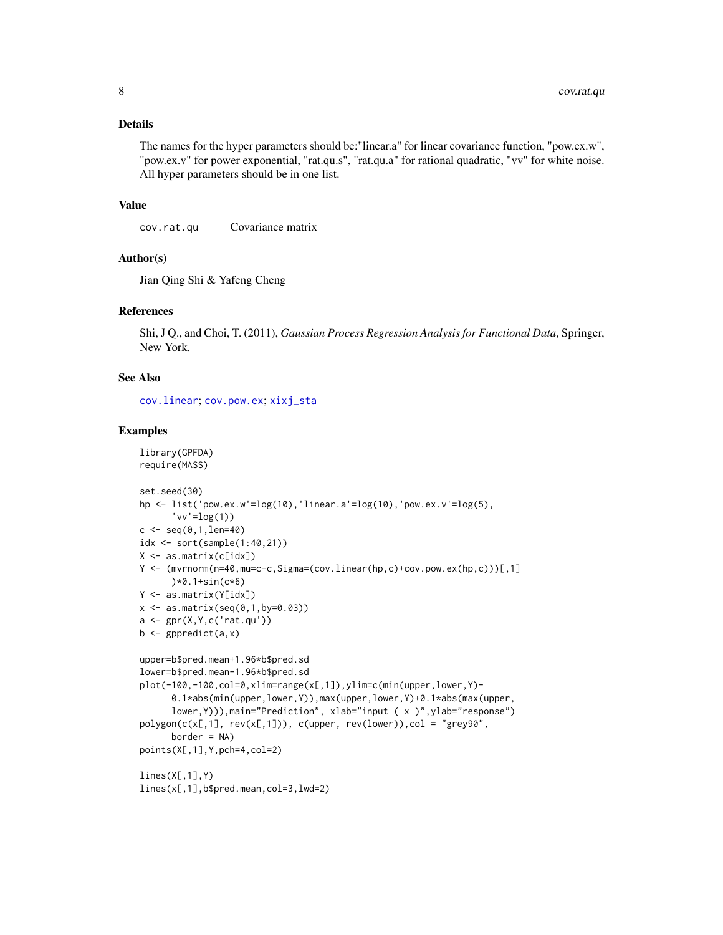<span id="page-7-0"></span>The names for the hyper parameters should be:"linear.a" for linear covariance function, "pow.ex.w", "pow.ex.v" for power exponential, "rat.qu.s", "rat.qu.a" for rational quadratic, "vv" for white noise. All hyper parameters should be in one list.

#### Value

cov.rat.qu Covariance matrix

#### Author(s)

Jian Qing Shi & Yafeng Cheng

#### References

Shi, J Q., and Choi, T. (2011), *Gaussian Process Regression Analysis for Functional Data*, Springer, New York.

#### See Also

[cov.linear](#page-3-1); [cov.pow.ex](#page-5-1); [xixj\\_sta](#page-22-1)

#### Examples

```
library(GPFDA)
require(MASS)
set.seed(30)
hp <- list('pow.ex.w'=log(10),'linear.a'=log(10),'pow.ex.v'=log(5),
      'vv' = log(1)c \leq - \text{seq}(0, 1, len=40)idx <- sort(sample(1:40,21))
X <- as.matrix(c[idx])
Y <- (mvrnorm(n=40,mu=c-c,Sigma=(cov.linear(hp,c)+cov.pow.ex(hp,c)))[,1]
      )*0.1+sin(c*6)
Y <- as.matrix(Y[idx])
x \le - as.matrix(seq(0,1,by=0.03))
a <- gpr(X,Y,c('rat.qu'))
b \leq gppredict(a, x)upper=b$pred.mean+1.96*b$pred.sd
lower=b$pred.mean-1.96*b$pred.sd
plot(-100,-100,col=0,xlim=range(x[,1]),ylim=c(min(upper,lower,Y)-
      0.1*abs(min(upper,lower,Y)),max(upper,lower,Y)+0.1*abs(max(upper,
      lower,Y))),main="Prediction", xlab="input ( x )",ylab="response")
polygon(c(x[, 1], rev(x[, 1])), c(upper, rev(lower)), col = "grey90",border = NA)points(X[,1],Y,pch=4,col=2)
lines(X[, 1], Y)lines(x[,1],b$pred.mean,col=3,lwd=2)
```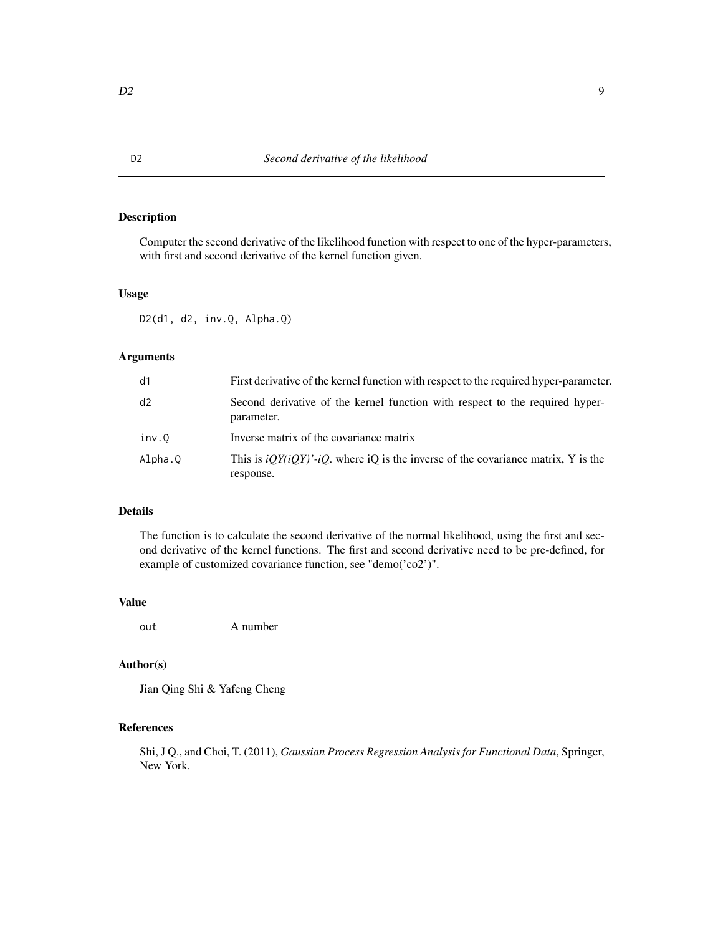Computer the second derivative of the likelihood function with respect to one of the hyper-parameters, with first and second derivative of the kernel function given.

#### Usage

D2(d1, d2, inv.Q, Alpha.Q)

#### Arguments

| d1      | First derivative of the kernel function with respect to the required hyper-parameter.            |
|---------|--------------------------------------------------------------------------------------------------|
| d2      | Second derivative of the kernel function with respect to the required hyper-<br>parameter.       |
| inv.O   | Inverse matrix of the covariance matrix                                                          |
| Alpha.Q | This is $iQY(iQY)'$ -iQ, where iQ is the inverse of the covariance matrix, Y is the<br>response. |

#### Details

The function is to calculate the second derivative of the normal likelihood, using the first and second derivative of the kernel functions. The first and second derivative need to be pre-defined, for example of customized covariance function, see "demo('co2')".

#### Value

out A number

#### Author(s)

Jian Qing Shi & Yafeng Cheng

### References

Shi, J Q., and Choi, T. (2011), *Gaussian Process Regression Analysis for Functional Data*, Springer, New York.

<span id="page-8-0"></span>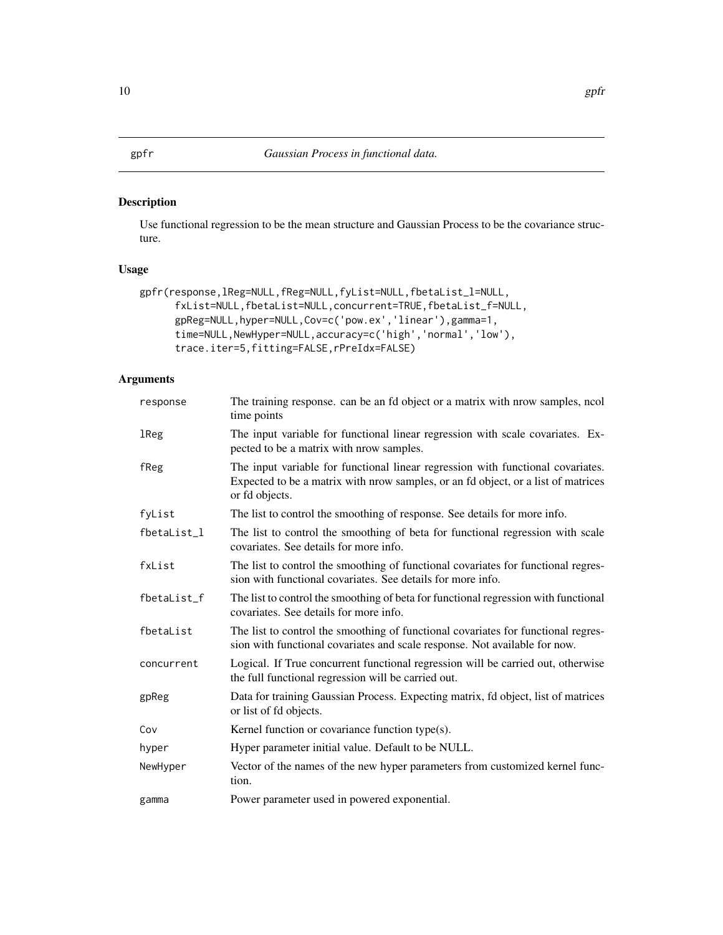<span id="page-9-1"></span><span id="page-9-0"></span>Use functional regression to be the mean structure and Gaussian Process to be the covariance structure.

#### Usage

```
gpfr(response,lReg=NULL,fReg=NULL,fyList=NULL,fbetaList_l=NULL,
     fxList=NULL,fbetaList=NULL,concurrent=TRUE,fbetaList_f=NULL,
     gpReg=NULL,hyper=NULL,Cov=c('pow.ex','linear'),gamma=1,
     time=NULL,NewHyper=NULL,accuracy=c('high','normal','low'),
     trace.iter=5,fitting=FALSE,rPreIdx=FALSE)
```

| response    | The training response. can be an fd object or a matrix with nrow samples, ncol<br>time points                                                                                          |
|-------------|----------------------------------------------------------------------------------------------------------------------------------------------------------------------------------------|
| lReg        | The input variable for functional linear regression with scale covariates. Ex-<br>pected to be a matrix with nrow samples.                                                             |
| fReg        | The input variable for functional linear regression with functional covariates.<br>Expected to be a matrix with nrow samples, or an fd object, or a list of matrices<br>or fd objects. |
| fyList      | The list to control the smoothing of response. See details for more info.                                                                                                              |
| fbetaList_1 | The list to control the smoothing of beta for functional regression with scale<br>covariates. See details for more info.                                                               |
| fxList      | The list to control the smoothing of functional covariates for functional regres-<br>sion with functional covariates. See details for more info.                                       |
| fbetaList_f | The list to control the smoothing of beta for functional regression with functional<br>covariates. See details for more info.                                                          |
| fbetaList   | The list to control the smoothing of functional covariates for functional regres-<br>sion with functional covariates and scale response. Not available for now.                        |
| concurrent  | Logical. If True concurrent functional regression will be carried out, otherwise<br>the full functional regression will be carried out.                                                |
| gpReg       | Data for training Gaussian Process. Expecting matrix, in object, list of matrices<br>or list of fd objects.                                                                            |
| Cov         | Kernel function or covariance function type(s).                                                                                                                                        |
| hyper       | Hyper parameter initial value. Default to be NULL.                                                                                                                                     |
| NewHyper    | Vector of the names of the new hyper parameters from customized kernel func-<br>tion.                                                                                                  |
| gamma       | Power parameter used in powered exponential.                                                                                                                                           |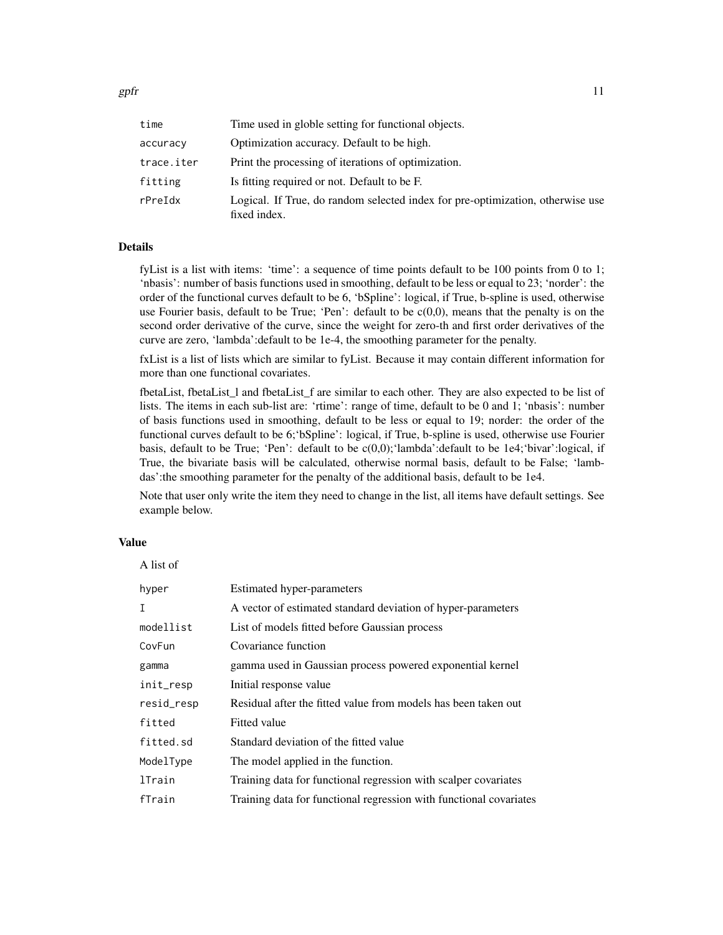| time       | Time used in globle setting for functional objects.                                            |
|------------|------------------------------------------------------------------------------------------------|
| accuracy   | Optimization accuracy. Default to be high.                                                     |
| trace.iter | Print the processing of iterations of optimization.                                            |
| fitting    | Is fitting required or not. Default to be F.                                                   |
| rPreIdx    | Logical. If True, do random selected index for pre-optimization, otherwise use<br>fixed index. |

fyList is a list with items: 'time': a sequence of time points default to be 100 points from 0 to 1; 'nbasis': number of basis functions used in smoothing, default to be less or equal to 23; 'norder': the order of the functional curves default to be 6, 'bSpline': logical, if True, b-spline is used, otherwise use Fourier basis, default to be True; 'Pen': default to be  $c(0,0)$ , means that the penalty is on the second order derivative of the curve, since the weight for zero-th and first order derivatives of the curve are zero, 'lambda':default to be 1e-4, the smoothing parameter for the penalty.

fxList is a list of lists which are similar to fyList. Because it may contain different information for more than one functional covariates.

fbetaList, fbetaList 1 and fbetaList f are similar to each other. They are also expected to be list of lists. The items in each sub-list are: 'rtime': range of time, default to be 0 and 1; 'nbasis': number of basis functions used in smoothing, default to be less or equal to 19; norder: the order of the functional curves default to be 6;'bSpline': logical, if True, b-spline is used, otherwise use Fourier basis, default to be True; 'Pen': default to be c(0,0);'lambda':default to be 1e4;'bivar':logical, if True, the bivariate basis will be calculated, otherwise normal basis, default to be False; 'lambdas':the smoothing parameter for the penalty of the additional basis, default to be 1e4.

Note that user only write the item they need to change in the list, all items have default settings. See example below.

#### Value

| A list of  |                                                                    |
|------------|--------------------------------------------------------------------|
| hyper      | <b>Estimated hyper-parameters</b>                                  |
| I          | A vector of estimated standard deviation of hyper-parameters       |
| modellist  | List of models fitted before Gaussian process                      |
| CovFun     | Covariance function                                                |
| gamma      | gamma used in Gaussian process powered exponential kernel          |
| init_resp  | Initial response value                                             |
| resid_resp | Residual after the fitted value from models has been taken out     |
| fitted     | Fitted value                                                       |
| fitted.sd  | Standard deviation of the fitted value                             |
| ModelType  | The model applied in the function.                                 |
| lTrain     | Training data for functional regression with scalper covariates    |
| fTrain     | Training data for functional regression with functional covariates |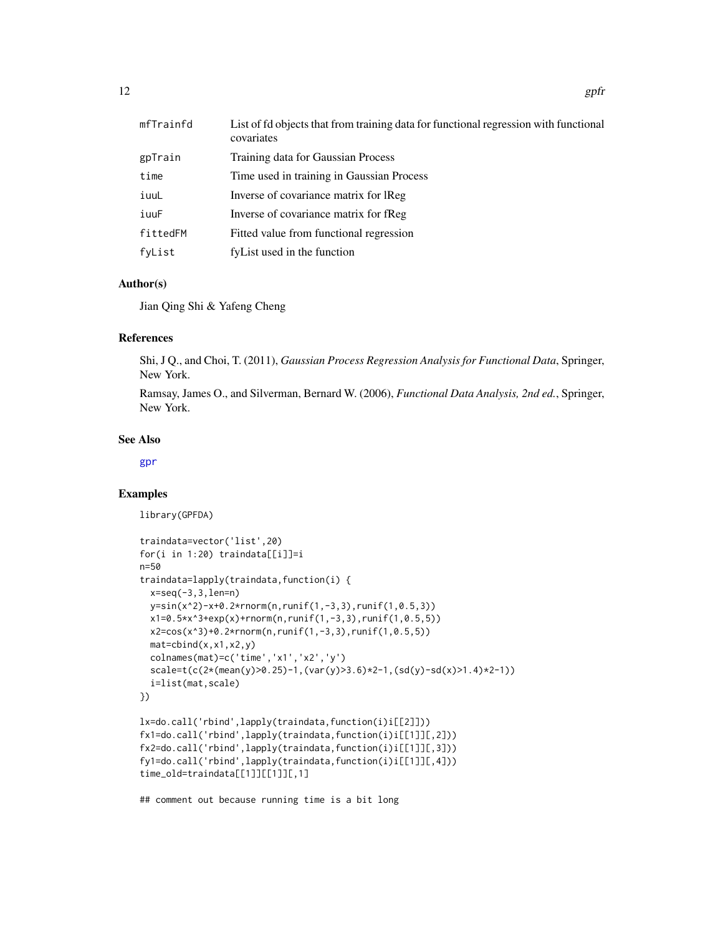<span id="page-11-0"></span>

| 12 | gpfr |
|----|------|
|    |      |

| mfTrainfd | List of fd objects that from training data for functional regression with functional<br>covariates |
|-----------|----------------------------------------------------------------------------------------------------|
| gpTrain   | Training data for Gaussian Process                                                                 |
| time      | Time used in training in Gaussian Process                                                          |
| iuuL      | Inverse of covariance matrix for IReg                                                              |
| iuuF      | Inverse of covariance matrix for fReg                                                              |
| fittedFM  | Fitted value from functional regression                                                            |
| fyList    | fyList used in the function                                                                        |

#### Author(s)

Jian Qing Shi & Yafeng Cheng

#### References

Shi, J Q., and Choi, T. (2011), *Gaussian Process Regression Analysis for Functional Data*, Springer, New York.

Ramsay, James O., and Silverman, Bernard W. (2006), *Functional Data Analysis, 2nd ed.*, Springer, New York.

#### See Also

#### [gpr](#page-16-1)

#### Examples

library(GPFDA)

```
traindata=vector('list',20)
for(i in 1:20) traindata[[i]]=i
n=50
traindata=lapply(traindata,function(i) {
 x=seq(-3,3,len=n)
 y=sin(x^2)-x+0.2*rnorm(n,runif(1,-3,3),runif(1,0.5,3))
 x1=0.5*x^3+exp(x)+rnorm(n,runif(1,-3,3),runif(1,0.5,5))
 x2=cos(x^3)+0.2*rnorm(n,runif(1,-3,3),runif(1,0.5,5))
 mat=cbind(x,x1,x2,y)colnames(mat)=c('time','x1','x2','y')
 scale=t(c(2*(mean(y)>0.25)-1,(var(y)>3.6)*2-1,(sd(y)-sd(x)>1.4)*2-1))
 i=list(mat,scale)
})
lx=do.call('rbind',lapply(traindata,function(i)i[[2]]))
fx1=do.call('rbind',lapply(traindata,function(i)i[[1]][,2]))
fx2=do.call('rbind',lapply(traindata,function(i)i[[1]][,3]))
fy1=do.call('rbind',lapply(traindata,function(i)i[[1]][,4]))
time_old=traindata[[1]][[1]][,1]
## comment out because running time is a bit long
```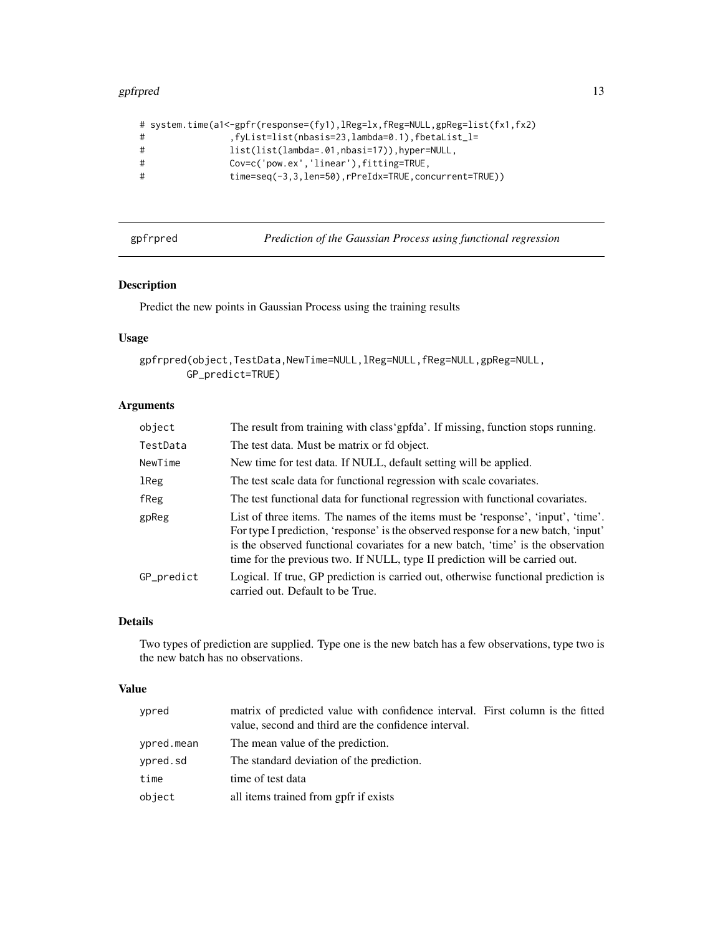#### <span id="page-12-0"></span>gpfrpred that the set of the set of the set of the set of the set of the set of the set of the set of the set of the set of the set of the set of the set of the set of the set of the set of the set of the set of the set of

|   | # system.time(a1<-gpfr(response=(fy1),lReg=lx,fReg=NULL,gpReg=list(fx1,fx2) |
|---|-----------------------------------------------------------------------------|
| # | .fyList=list(nbasis=23,lambda=0.1),fbetaList_l=                             |
| # | $list(list(lambda=.01, nbasi=17)), hyper=NULL,$                             |
| # | Cov=c('pow.ex','linear'),fitting=TRUE,                                      |
| # | $time = seq(-3, 3, len = 50)$ , $rPreIdx = TRUE$ , $concurrent = TRUE$ )    |
|   |                                                                             |

<span id="page-12-1"></span>gpfrpred *Prediction of the Gaussian Process using functional regression*

#### Description

Predict the new points in Gaussian Process using the training results

### Usage

```
gpfrpred(object,TestData,NewTime=NULL,lReg=NULL,fReg=NULL,gpReg=NULL,
       GP_predict=TRUE)
```
#### Arguments

| object     | The result from training with class 'gpfda'. If missing, function stops running.                                                                                                                                                                                                                                                           |
|------------|--------------------------------------------------------------------------------------------------------------------------------------------------------------------------------------------------------------------------------------------------------------------------------------------------------------------------------------------|
| TestData   | The test data. Must be matrix or fd object.                                                                                                                                                                                                                                                                                                |
| NewTime    | New time for test data. If NULL, default setting will be applied.                                                                                                                                                                                                                                                                          |
| lReg       | The test scale data for functional regression with scale covariates.                                                                                                                                                                                                                                                                       |
| fReg       | The test functional data for functional regression with functional covariates.                                                                                                                                                                                                                                                             |
| gpReg      | List of three items. The names of the items must be 'response', 'input', 'time'.<br>For type I prediction, 'response' is the observed response for a new batch, 'input'<br>is the observed functional covariates for a new batch, 'time' is the observation<br>time for the previous two. If NULL, type II prediction will be carried out. |
| GP_predict | Logical. If true, GP prediction is carried out, otherwise functional prediction is<br>carried out. Default to be True.                                                                                                                                                                                                                     |

#### Details

Two types of prediction are supplied. Type one is the new batch has a few observations, type two is the new batch has no observations.

#### Value

| ypred      | matrix of predicted value with confidence interval. First column is the fitted |
|------------|--------------------------------------------------------------------------------|
|            | value, second and third are the confidence interval.                           |
| ypred.mean | The mean value of the prediction.                                              |
| ypred.sd   | The standard deviation of the prediction.                                      |
| time       | time of test data                                                              |
| object     | all items trained from gpfr if exists                                          |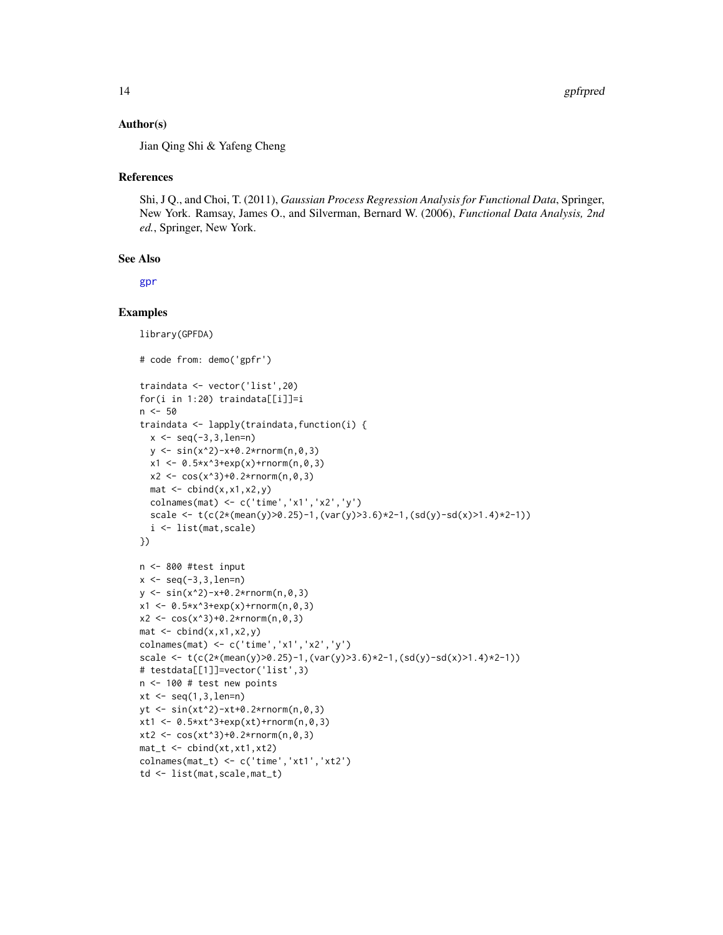#### <span id="page-13-0"></span>Author(s)

Jian Qing Shi & Yafeng Cheng

#### References

Shi, J Q., and Choi, T. (2011), *Gaussian Process Regression Analysis for Functional Data*, Springer, New York. Ramsay, James O., and Silverman, Bernard W. (2006), *Functional Data Analysis, 2nd ed.*, Springer, New York.

#### See Also

[gpr](#page-16-1)

#### Examples

```
library(GPFDA)
# code from: demo('gpfr')
traindata <- vector('list',20)
for(i in 1:20) traindata[[i]]=i
n < -50traindata <- lapply(traindata,function(i) {
 x \le - seq(-3, 3, len=n)
  y <- sin(x^2)-x+0.2*rnorm(n,0,3)
  x1 \leq 0.5*x^3+exp(x)+rnorm(n,0,3)x2 \leq \cos(x^3)+0.2\cdot\text{rnorm}(n,0,3)mat < - child(x, x1, x2, y)colnames(mat) <- c('time','x1','x2','y')
  scale <- t(c(2*(-\text{mean}(y))>0.25)-1,(var(y)>3.6)*2-1,(sd(y)-sd(x)>1.4)*2-1))i <- list(mat,scale)
})
n <- 800 #test input
x \le - seq(-3, 3, len=n)
y \le -\sin(x^2)-x+0.2*rnorm(n,0,3)x1 \leq 0.5*x^3+exp(x)+rnorm(n,0,3)x2 \leq \cos(x^3)+0.2*rnorm(n,0,3)mat < - child(x, x1, x2, y)colnames(mat) <- c('time','x1','x2','y')
scale <- t(c(2*(-\text{mean}(y))\ge 0.25)-1,(\text{var}(y)>3.6)*2-1,(\text{sd}(y)-sd(x)>1.4)*2-1))# testdata[[1]]=vector('list',3)
n <- 100 # test new points
xt < -seq(1, 3, len=n)yt <- sin(xt^2)-xt+0.2*rnorm(n,0,3)
xt1 < -0.5*xt^3+exp(xt)+rnorm(n,0,3)xt2 < -cos(xt^3)+0.2*rnorm(n,0,3)mat_t < - cbind(xt,xt1,xt2)
colnames(mat_t) <- c('time','xt1','xt2')
td <- list(mat,scale,mat_t)
```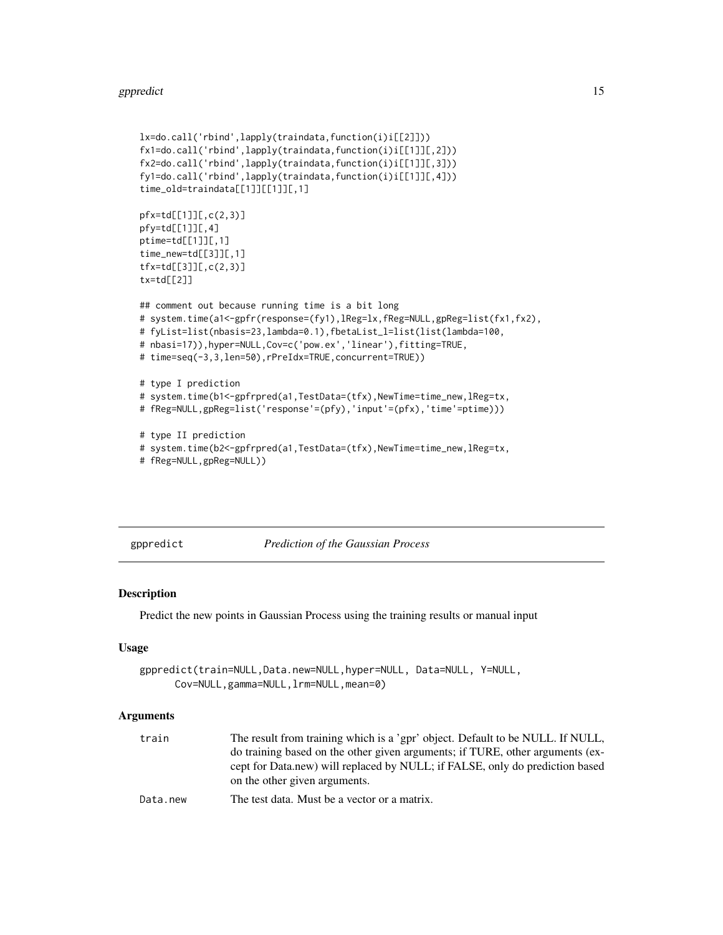#### <span id="page-14-0"></span>gppredict the state of the state of the state of the state of the state of the state of the state of the state of the state of the state of the state of the state of the state of the state of the state of the state of the

```
lx=do.call('rbind',lapply(traindata,function(i)i[[2]]))
fx1=do.call('rbind',lapply(traindata,function(i)i[[1]][,2]))
fx2=do.call('rbind',lapply(traindata,function(i)i[[1]][,3]))
fy1=do.call('rbind',lapply(traindata,function(i)i[[1]][,4]))
time_old=traindata[[1]][[1]][,1]
pfx=td[[1]][,c(2,3)]
pfy=td[[1]][,4]
ptime=td[[1]][,1]
time_new=td[[3]][,1]
tfx=td[[3]][,c(2,3)]
tx=td[[2]]
## comment out because running time is a bit long
# system.time(a1<-gpfr(response=(fy1),lReg=lx,fReg=NULL,gpReg=list(fx1,fx2),
# fyList=list(nbasis=23,lambda=0.1),fbetaList_l=list(list(lambda=100,
# nbasi=17)),hyper=NULL,Cov=c('pow.ex','linear'),fitting=TRUE,
# time=seq(-3,3,len=50),rPreIdx=TRUE,concurrent=TRUE))
# type I prediction
# system.time(b1<-gpfrpred(a1,TestData=(tfx),NewTime=time_new,lReg=tx,
# fReg=NULL,gpReg=list('response'=(pfy),'input'=(pfx),'time'=ptime)))
# type II prediction
# system.time(b2<-gpfrpred(a1,TestData=(tfx),NewTime=time_new,lReg=tx,
# fReg=NULL,gpReg=NULL))
```
<span id="page-14-1"></span>gppredict *Prediction of the Gaussian Process*

#### Description

Predict the new points in Gaussian Process using the training results or manual input

#### Usage

```
gppredict(train=NULL,Data.new=NULL,hyper=NULL, Data=NULL, Y=NULL,
     Cov=NULL,gamma=NULL,lrm=NULL,mean=0)
```

| train    | The result from training which is a 'gpr' object. Default to be NULL. If NULL, |
|----------|--------------------------------------------------------------------------------|
|          | do training based on the other given arguments; if TURE, other arguments (ex-  |
|          | cept for Data, new) will replaced by NULL; if FALSE, only do prediction based  |
|          | on the other given arguments.                                                  |
| Data.new | The test data. Must be a vector or a matrix.                                   |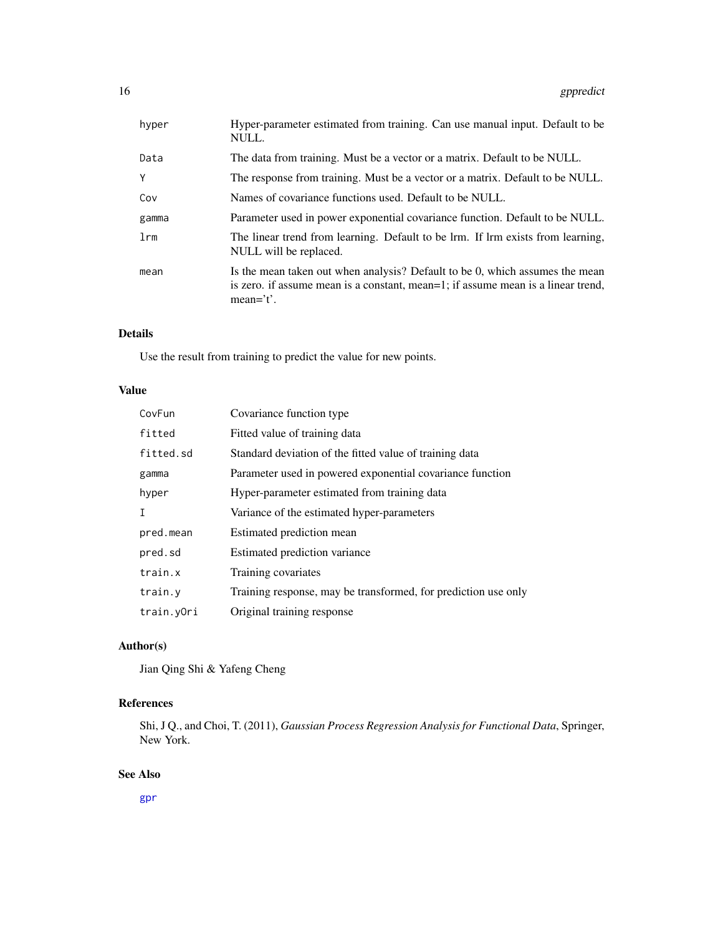<span id="page-15-0"></span>

| hyper  | Hyper-parameter estimated from training. Can use manual input. Default to be<br>NULL.                                                                                           |
|--------|---------------------------------------------------------------------------------------------------------------------------------------------------------------------------------|
| Data   | The data from training. Must be a vector or a matrix. Default to be NULL.                                                                                                       |
| Y      | The response from training. Must be a vector or a matrix. Default to be NULL.                                                                                                   |
| Cov    | Names of covariance functions used. Default to be NULL.                                                                                                                         |
| gamma  | Parameter used in power exponential covariance function. Default to be NULL.                                                                                                    |
| $1$ rm | The linear trend from learning. Default to be lrm. If lrm exists from learning,<br>NULL will be replaced.                                                                       |
| mean   | Is the mean taken out when analysis? Default to be 0, which assumes the mean<br>is zero. if assume mean is a constant, mean=1; if assume mean is a linear trend,<br>$mean='t'.$ |

Use the result from training to predict the value for new points.

#### Value

| CovFun     | Covariance function type                                       |
|------------|----------------------------------------------------------------|
| fitted     | Fitted value of training data                                  |
| fitted.sd  | Standard deviation of the fitted value of training data        |
| gamma      | Parameter used in powered exponential covariance function      |
| hyper      | Hyper-parameter estimated from training data                   |
| T          | Variance of the estimated hyper-parameters                     |
| pred.mean  | Estimated prediction mean                                      |
| pred.sd    | Estimated prediction variance                                  |
| train.x    | Training covariates                                            |
| train.y    | Training response, may be transformed, for prediction use only |
| train.yOri | Original training response                                     |

#### Author(s)

Jian Qing Shi & Yafeng Cheng

### References

Shi, J Q., and Choi, T. (2011), *Gaussian Process Regression Analysis for Functional Data*, Springer, New York.

#### See Also

[gpr](#page-16-1)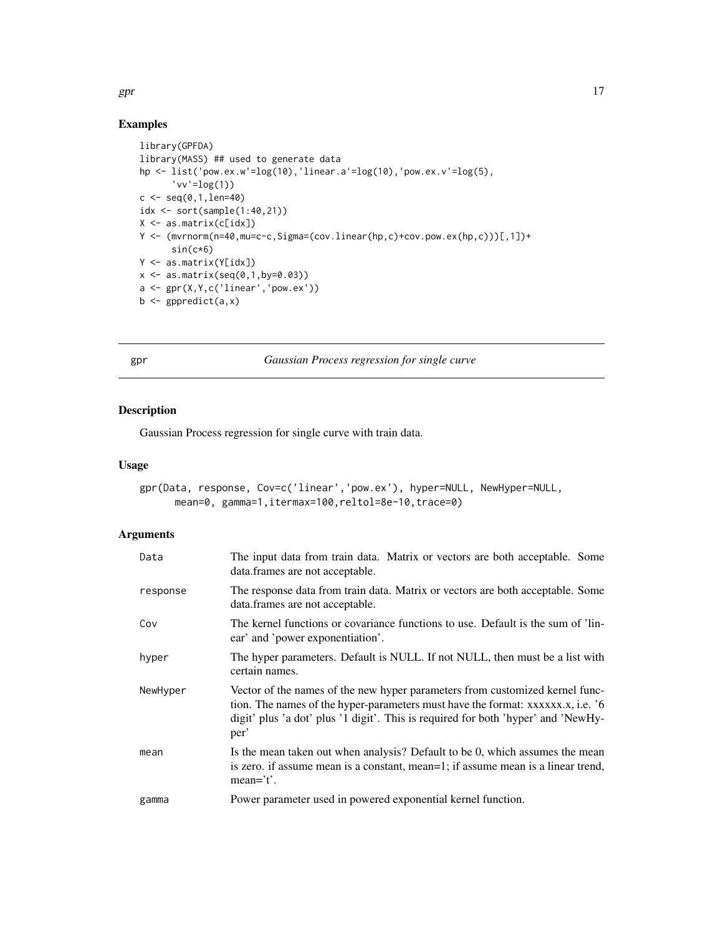### Examples

```
library(GPFDA)
library(MASS) ## used to generate data
hp <- list('pow.ex.w'=log(10),'linear.a'=log(10),'pow.ex.v'=log(5),
      'vv'=log(1))
c < -seq(0, 1, len=40)idx <- sort(sample(1:40,21))
X <- as.matrix(c[idx])
Y <- (mvrnorm(n=40,mu=c-c,Sigma=(cov.linear(hp,c)+cov.pow.ex(hp,c)))[,1])+
      sin(c*6)
Y <- as.matrix(Y[idx])
x \le - as.matrix(seq(0,1,by=0.03))
a <- gpr(X,Y,c('linear','pow.ex'))
b \leftarrow gppredict(a, x)
```
<span id="page-16-1"></span>gpr *Gaussian Process regression for single curve*

#### Description

Gaussian Process regression for single curve with train data.

#### Usage

```
gpr(Data, response, Cov=c('linear','pow.ex'), hyper=NULL, NewHyper=NULL,
     mean=0, gamma=1,itermax=100,reltol=8e-10,trace=0)
```
#### Arguments

| Data     | The input data from train data. Matrix or vectors are both acceptable. Some<br>data.frames are not acceptable.                                                                                                                                              |
|----------|-------------------------------------------------------------------------------------------------------------------------------------------------------------------------------------------------------------------------------------------------------------|
| response | The response data from train data. Matrix or vectors are both acceptable. Some<br>data.frames are not acceptable.                                                                                                                                           |
| Cov      | The kernel functions or covariance functions to use. Default is the sum of 'lin-<br>ear' and 'power exponentiation'.                                                                                                                                        |
| hyper    | The hyper parameters. Default is NULL. If not NULL, then must be a list with<br>certain names.                                                                                                                                                              |
| NewHyper | Vector of the names of the new hyper parameters from customized kernel func-<br>tion. The names of the hyper-parameters must have the format: xxxxxx., i.e. '6<br>digit' plus 'a dot' plus '1 digit'. This is required for both 'hyper' and 'NewHy-<br>per' |
| mean     | Is the mean taken out when analysis? Default to be 0, which assumes the mean<br>is zero. if assume mean is a constant, mean=1; if assume mean is a linear trend,<br>$mean='t'.$                                                                             |
| gamma    | Power parameter used in powered exponential kernel function.                                                                                                                                                                                                |

<span id="page-16-0"></span> $gpr$  17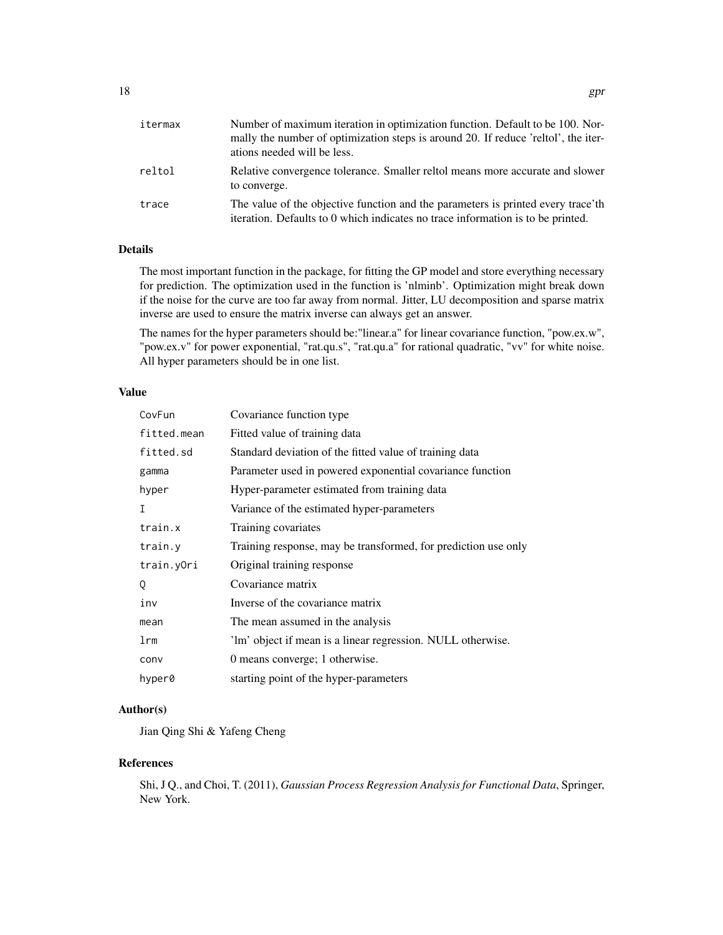| itermax | Number of maximum iteration in optimization function. Default to be 100. Nor-<br>mally the number of optimization steps is around 20. If reduce 'reltol', the iter-<br>ations needed will be less. |
|---------|----------------------------------------------------------------------------------------------------------------------------------------------------------------------------------------------------|
| reltol  | Relative convergence tolerance. Smaller reltol means more accurate and slower<br>to converge.                                                                                                      |
| trace   | The value of the objective function and the parameters is printed every trace'th<br>iteration. Defaults to 0 which indicates no trace information is to be printed.                                |

The most important function in the package, for fitting the GP model and store everything necessary for prediction. The optimization used in the function is 'nlminb'. Optimization might break down if the noise for the curve are too far away from normal. Jitter, LU decomposition and sparse matrix inverse are used to ensure the matrix inverse can always get an answer.

The names for the hyper parameters should be:"linear.a" for linear covariance function, "pow.ex.w", "pow.ex.v" for power exponential, "rat.qu.s", "rat.qu.a" for rational quadratic, "vv" for white noise. All hyper parameters should be in one list.

#### Value

| CovFun          | Covariance function type.                                      |
|-----------------|----------------------------------------------------------------|
| fitted.mean     | Fitted value of training data                                  |
| fitted.sd       | Standard deviation of the fitted value of training data        |
| gamma           | Parameter used in powered exponential covariance function      |
| hyper           | Hyper-parameter estimated from training data                   |
| T               | Variance of the estimated hyper-parameters                     |
| train.x         | Training covariates                                            |
| train.y         | Training response, may be transformed, for prediction use only |
| train.yOri      | Original training response                                     |
| 0               | Covariance matrix                                              |
| inv             | Inverse of the covariance matrix                               |
| mean            | The mean assumed in the analysis                               |
| 1 <sub>rm</sub> | 'lm' object if mean is a linear regression. NULL otherwise.    |
| conv            | 0 means converge; 1 otherwise.                                 |
| hyper0          | starting point of the hyper-parameters                         |

#### Author(s)

Jian Qing Shi & Yafeng Cheng

#### References

Shi, J Q., and Choi, T. (2011), *Gaussian Process Regression Analysis for Functional Data*, Springer, New York.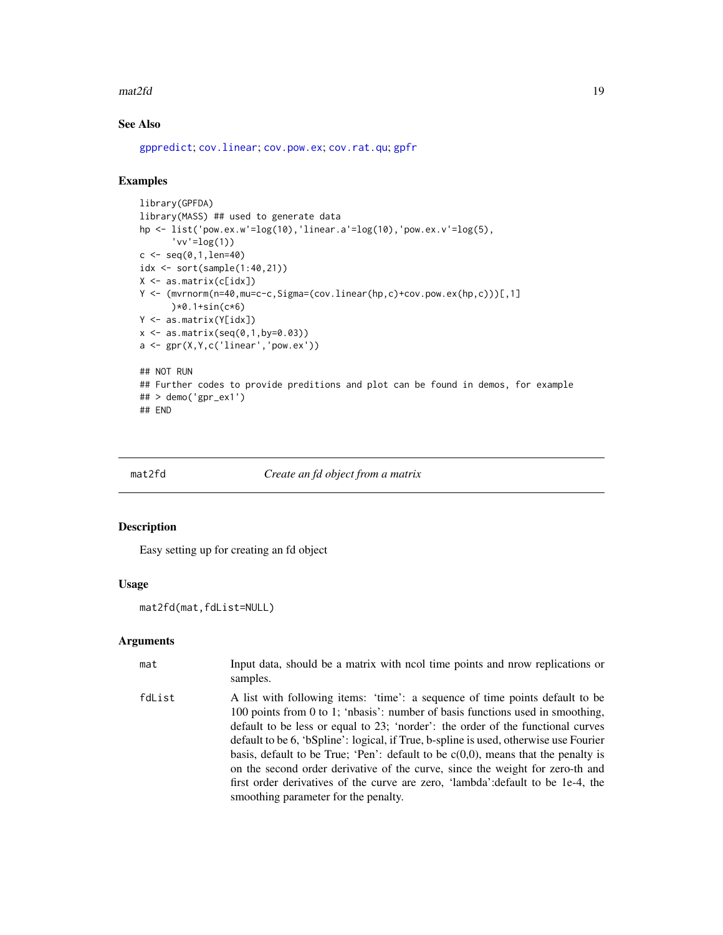#### <span id="page-18-0"></span> $\text{mat2fd}$  19

### See Also

[gppredict](#page-14-1); [cov.linear](#page-3-1); [cov.pow.ex](#page-5-1); [cov.rat.qu](#page-6-1); [gpfr](#page-9-1)

#### Examples

```
library(GPFDA)
library(MASS) ## used to generate data
hp <- list('pow.ex.w'=log(10),'linear.a'=log(10),'pow.ex.v'=log(5),
      'vv'=log(1))
c \leq - \text{seq}(0, 1, len=40)idx <- sort(sample(1:40,21))
X <- as.matrix(c[idx])
Y <- (mvrnorm(n=40,mu=c-c,Sigma=(cov.linear(hp,c)+cov.pow.ex(hp,c)))[,1]
      )*0.1+sin(c*6)
Y <- as.matrix(Y[idx])
x \le - as.matrix(seq(0,1,by=0.03))
a \leftarrow \text{gpr}(X, Y, c('linear', 'pow.ex'))## NOT RUN
## Further codes to provide preditions and plot can be found in demos, for example
## > demo('gpr_ex1')
## END
```
mat2fd *Create an fd object from a matrix*

#### Description

Easy setting up for creating an fd object

#### Usage

mat2fd(mat,fdList=NULL)

| mat    | Input data, should be a matrix with neol time points and nrow replications or<br>samples.                                                                                                                                                                                                                                                                                                                                                                                                                                                                                                                                                       |
|--------|-------------------------------------------------------------------------------------------------------------------------------------------------------------------------------------------------------------------------------------------------------------------------------------------------------------------------------------------------------------------------------------------------------------------------------------------------------------------------------------------------------------------------------------------------------------------------------------------------------------------------------------------------|
| fdList | A list with following items: 'time': a sequence of time points default to be<br>100 points from 0 to 1; 'nbasis': number of basis functions used in smoothing,<br>default to be less or equal to 23; 'norder': the order of the functional curves<br>default to be 6, 'bSpline': logical, if True, b-spline is used, otherwise use Fourier<br>basis, default to be True; 'Pen': default to be $c(0,0)$ , means that the penalty is<br>on the second order derivative of the curve, since the weight for zero-th and<br>first order derivatives of the curve are zero, 'lambda': default to be 1e-4, the<br>smoothing parameter for the penalty. |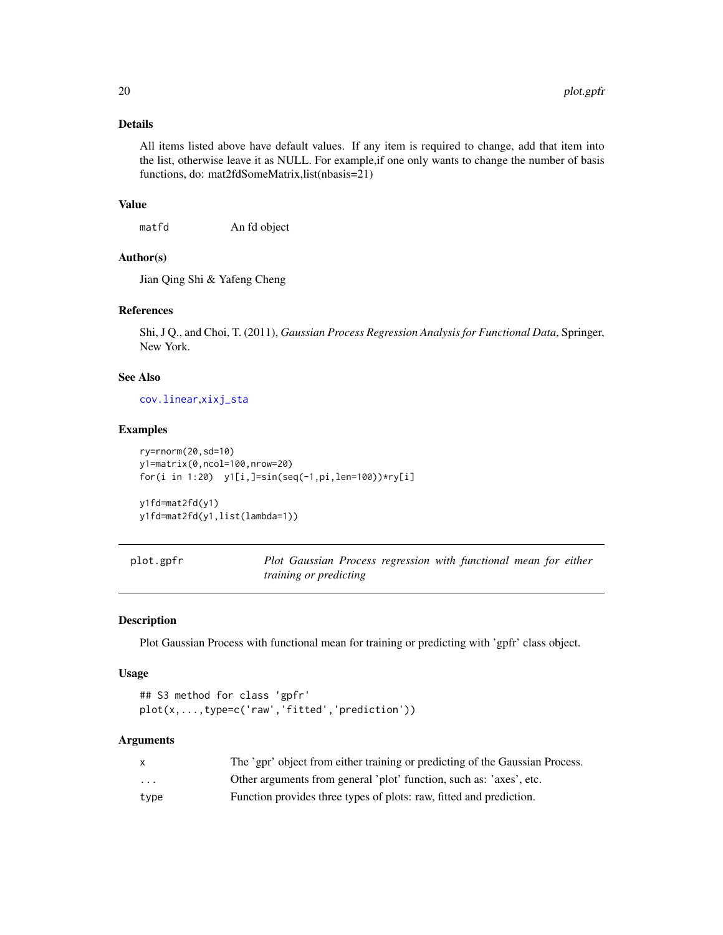<span id="page-19-0"></span>All items listed above have default values. If any item is required to change, add that item into the list, otherwise leave it as NULL. For example,if one only wants to change the number of basis functions, do: mat2fdSomeMatrix,list(nbasis=21)

#### Value

matfd An fd object

#### Author(s)

Jian Qing Shi & Yafeng Cheng

#### References

Shi, J Q., and Choi, T. (2011), *Gaussian Process Regression Analysis for Functional Data*, Springer, New York.

#### See Also

[cov.linear](#page-3-1),[xixj\\_sta](#page-22-1)

#### Examples

```
ry=rnorm(20,sd=10)
y1=matrix(0,ncol=100,nrow=20)
for(i in 1:20) y1[i,]=sin(seq(-1,pi,len=100))*ry[i]
```

```
y1fd=mat2fd(y1)
y1fd=mat2fd(y1,list(lambda=1))
```
plot.gpfr *Plot Gaussian Process regression with functional mean for either training or predicting*

#### Description

Plot Gaussian Process with functional mean for training or predicting with 'gpfr' class object.

#### Usage

```
## S3 method for class 'gpfr'
plot(x,...,type=c('raw','fitted','prediction'))
```

|                         | The 'gpr' object from either training or predicting of the Gaussian Process. |
|-------------------------|------------------------------------------------------------------------------|
| $\cdot$ $\cdot$ $\cdot$ | Other arguments from general 'plot' function, such as: 'axes', etc.          |
| type                    | Function provides three types of plots: raw, fitted and prediction.          |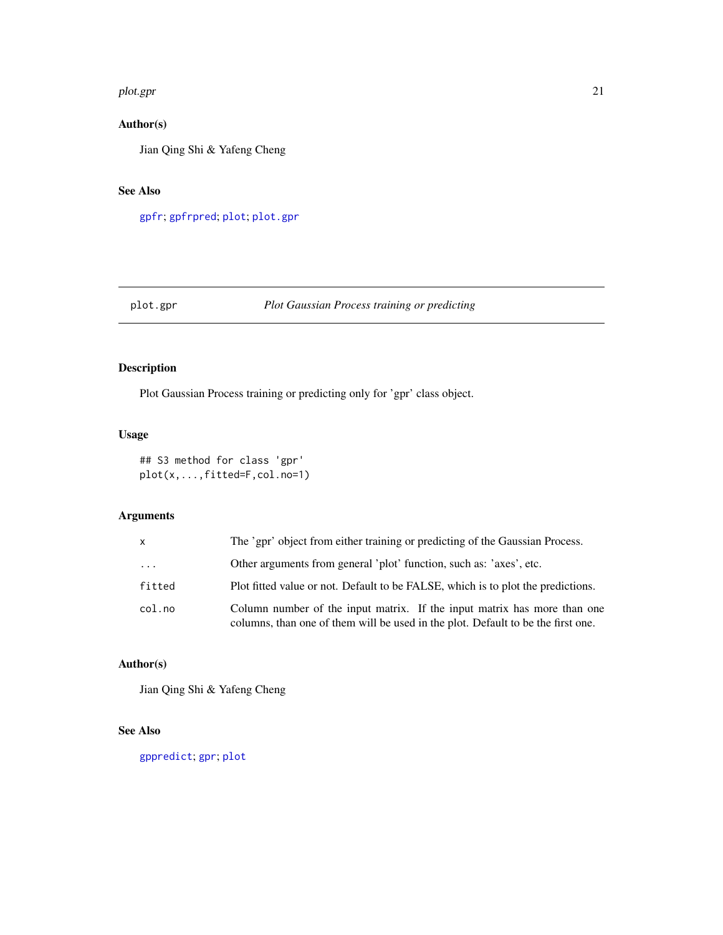#### <span id="page-20-0"></span>plot.gpr 21

#### Author(s)

Jian Qing Shi & Yafeng Cheng

#### See Also

[gpfr](#page-9-1); [gpfrpred](#page-12-1); [plot](#page-0-0); [plot.gpr](#page-20-1)

#### <span id="page-20-1"></span>plot.gpr *Plot Gaussian Process training or predicting*

#### Description

Plot Gaussian Process training or predicting only for 'gpr' class object.

#### Usage

```
## S3 method for class 'gpr'
plot(x,...,fitted=F,col.no=1)
```
#### Arguments

| X        | The 'gpr' object from either training or predicting of the Gaussian Process.                                                                                 |
|----------|--------------------------------------------------------------------------------------------------------------------------------------------------------------|
| $\cdots$ | Other arguments from general 'plot' function, such as: 'axes', etc.                                                                                          |
| fitted   | Plot fitted value or not. Default to be FALSE, which is to plot the predictions.                                                                             |
| col.no   | Column number of the input matrix. If the input matrix has more than one<br>columns, than one of them will be used in the plot. Default to be the first one. |

#### Author(s)

Jian Qing Shi & Yafeng Cheng

#### See Also

[gppredict](#page-14-1); [gpr](#page-16-1); [plot](#page-0-0)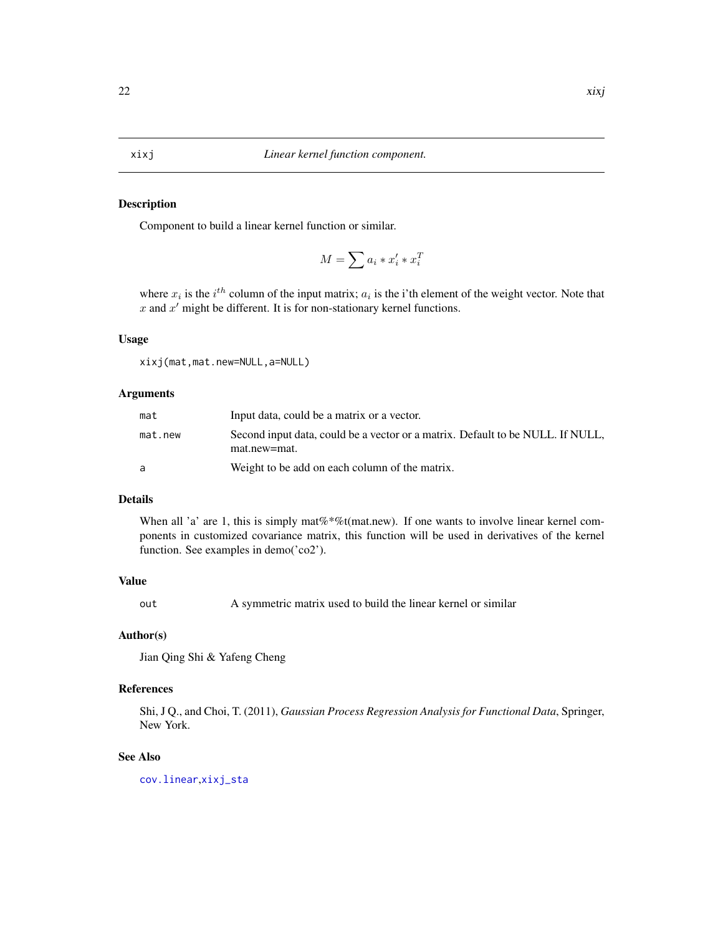<span id="page-21-1"></span><span id="page-21-0"></span>Component to build a linear kernel function or similar.

$$
M = \sum a_i * x_i' * x_i^T
$$

where  $x_i$  is the  $i^{th}$  column of the input matrix;  $a_i$  is the i'th element of the weight vector. Note that  $x$  and  $x'$  might be different. It is for non-stationary kernel functions.

#### Usage

xixj(mat,mat.new=NULL,a=NULL)

#### Arguments

| mat     | Input data, could be a matrix or a vector.                                                     |
|---------|------------------------------------------------------------------------------------------------|
| mat.new | Second input data, could be a vector or a matrix. Default to be NULL. If NULL,<br>mat.new=mat. |
| a       | Weight to be add on each column of the matrix.                                                 |

#### Details

When all 'a' are 1, this is simply mat  $\%$  \*%t(mat.new). If one wants to involve linear kernel components in customized covariance matrix, this function will be used in derivatives of the kernel function. See examples in demo('co2').

#### Value

out A symmetric matrix used to build the linear kernel or similar

#### Author(s)

Jian Qing Shi & Yafeng Cheng

#### References

Shi, J Q., and Choi, T. (2011), *Gaussian Process Regression Analysis for Functional Data*, Springer, New York.

#### See Also

[cov.linear](#page-3-1),[xixj\\_sta](#page-22-1)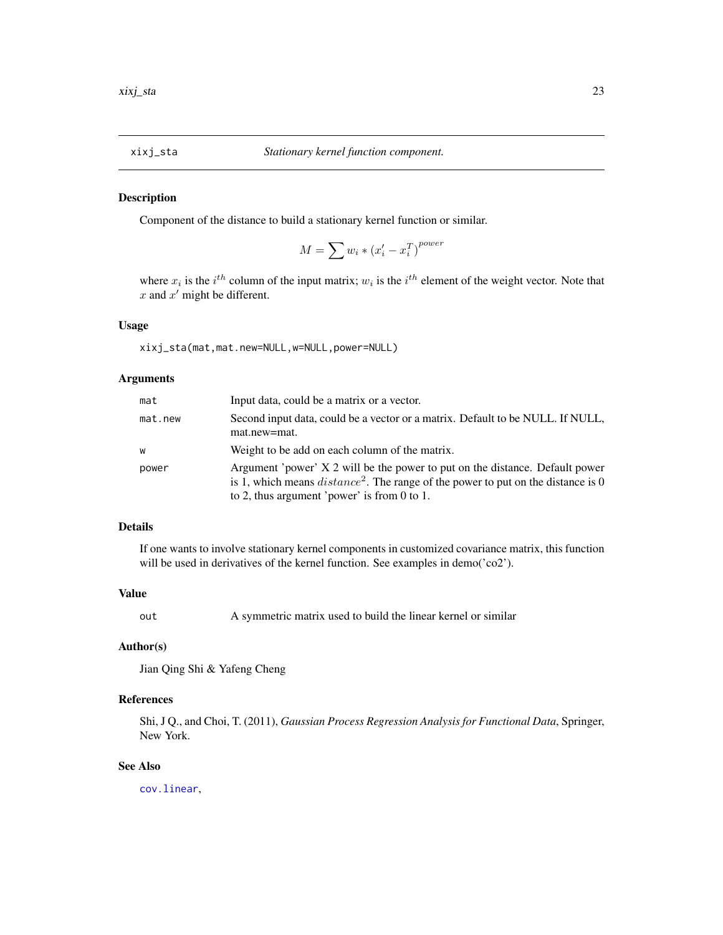<span id="page-22-1"></span><span id="page-22-0"></span>

Component of the distance to build a stationary kernel function or similar.

$$
M = \sum w_i * (x_i' - x_i^T)^{power}
$$

where  $x_i$  is the  $i^{th}$  column of the input matrix;  $w_i$  is the  $i^{th}$  element of the weight vector. Note that  $x$  and  $x'$  might be different.

#### Usage

xixj\_sta(mat,mat.new=NULL,w=NULL,power=NULL)

#### Arguments

| mat     | Input data, could be a matrix or a vector.                                                                                                                                                                         |
|---------|--------------------------------------------------------------------------------------------------------------------------------------------------------------------------------------------------------------------|
| mat.new | Second input data, could be a vector or a matrix. Default to be NULL. If NULL,<br>mat.new=mat.                                                                                                                     |
| W       | Weight to be add on each column of the matrix.                                                                                                                                                                     |
| power   | Argument 'power' X 2 will be the power to put on the distance. Default power<br>is 1, which means $distance^2$ . The range of the power to put on the distance is 0<br>to 2, thus argument 'power' is from 0 to 1. |

#### Details

If one wants to involve stationary kernel components in customized covariance matrix, this function will be used in derivatives of the kernel function. See examples in demo('co2').

#### Value

out A symmetric matrix used to build the linear kernel or similar

#### Author(s)

Jian Qing Shi & Yafeng Cheng

#### References

Shi, J Q., and Choi, T. (2011), *Gaussian Process Regression Analysis for Functional Data*, Springer, New York.

#### See Also

[cov.linear](#page-3-1),